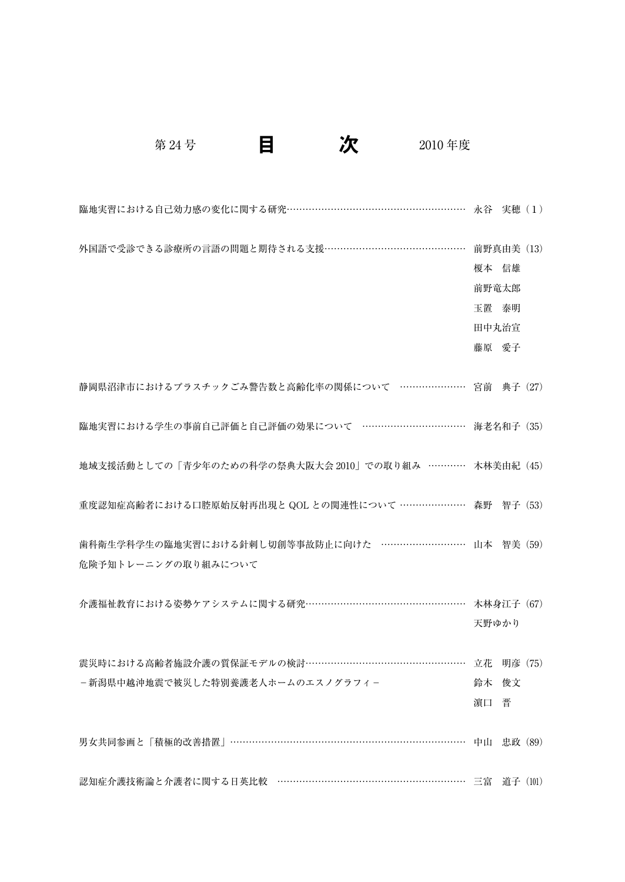第 24 号 日 <mark>次</mark> 2010 年度

| <b>臨地実習における自己効力感の変化に関する研究………………………………………………… 永谷 実穂(1)</b> |            |          |  |
|-----------------------------------------------------------|------------|----------|--|
| 外国語で受診できる診療所の言語の問題と期待される支援……………………………………                  | 前野真由美 (13) |          |  |
|                                                           | 榎本 信雄      |          |  |
|                                                           | 前野竜太郎      |          |  |
|                                                           | 玉置 泰明      |          |  |
|                                                           | 田中丸治宣      |          |  |
|                                                           | 藤原 愛子      |          |  |
|                                                           |            |          |  |
| 静岡県沼津市におけるプラスチックごみ警告数と高齢化率の関係について …………………… 宮前 典子 (27)     |            |          |  |
|                                                           |            |          |  |
| 臨地実習における学生の事前自己評価と自己評価の効果について ……………………………… 海老名和子(35)      |            |          |  |
|                                                           |            |          |  |
| 地域支援活動としての「青少年のための科学の祭典大阪大会 2010」での取り組み ………… 木林美由紀 (45)   |            |          |  |
|                                                           |            |          |  |
| 重度認知症高齢者における口腔原始反射再出現と QOL との関連性について ………………… 森野 智子 (53)   |            |          |  |
|                                                           |            |          |  |
| 歯科衛生学科学生の臨地実習における針刺し切創等事故防止に向けた ………………………… 山本 智美 (59)     |            |          |  |
| 危険予知トレーニングの取り組みについて                                       |            |          |  |
|                                                           |            |          |  |
| 介護福祉教育における姿勢ケアシステムに関する研究…………………………………………… 木林身江子 (67)      |            |          |  |
|                                                           | 天野ゆかり      |          |  |
|                                                           |            |          |  |
| 震災時における高齢者施設介護の質保証モデルの検討……………………………………………… 立花 明彦 (75)     |            |          |  |
| – 新潟県中越沖地震で被災した特別養護老人ホームのエスノグラフィ-                         | 鈴木         | 俊文       |  |
|                                                           | 濵口         | 晋        |  |
| 男女共同参画と「積極的改善措置」……………………………………………………………………… 中山 忠政 (89)    |            |          |  |
|                                                           |            |          |  |
| 認知症介護技術論と介護者に関する日英比較 …………………………………………………… 三富              |            | 道子 (101) |  |
|                                                           |            |          |  |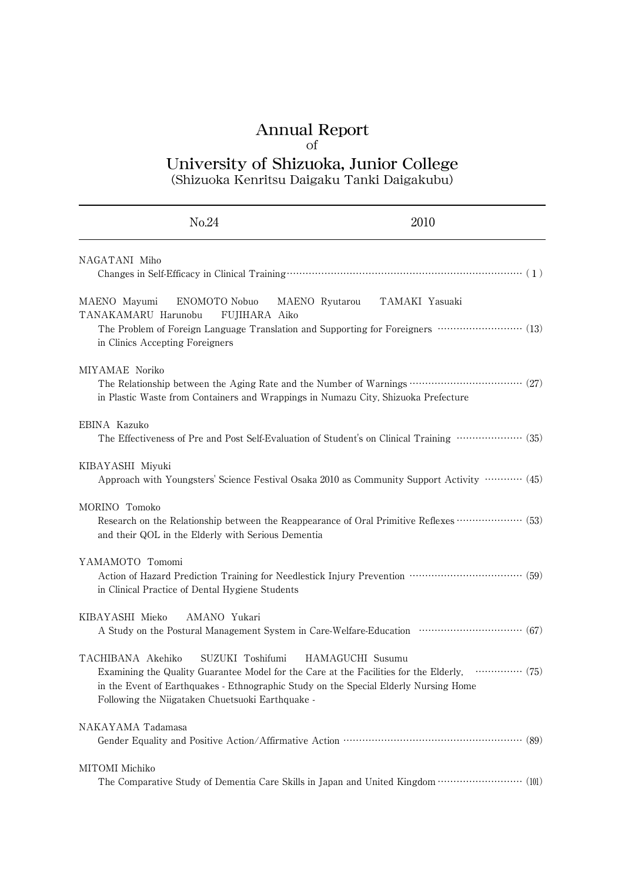## Annual Report

#### of

# University of Shizuoka, Junior College

(Shizuoka Kenritsu Daigaku Tanki Daigakubu)

| No.24                                                                                                                                                                             | 2010                                                                                                                                       |
|-----------------------------------------------------------------------------------------------------------------------------------------------------------------------------------|--------------------------------------------------------------------------------------------------------------------------------------------|
| NAGATANI Miho                                                                                                                                                                     |                                                                                                                                            |
| MAENO Mayumi<br>ENOMOTO Nobuo<br>FUJIHARA Aiko<br>TANAKAMARU Harunobu<br>in Clinics Accepting Foreigners                                                                          | MAENO Ryutarou TAMAKI Yasuaki<br>The Problem of Foreign Language Translation and Supporting for Foreigners ·························· (13) |
| MIYAMAE Noriko<br>in Plastic Waste from Containers and Wrappings in Numazu City, Shizuoka Prefecture                                                                              | The Relationship between the Aging Rate and the Number of Warnings ……………………………… (27)                                                       |
| EBINA Kazuko                                                                                                                                                                      | The Effectiveness of Pre and Post Self-Evaluation of Student's on Clinical Training ···················· (35)                              |
| KIBAYASHI Miyuki                                                                                                                                                                  | Approach with Youngsters' Science Festival Osaka 2010 as Community Support Activity ………… (45)                                              |
| MORINO Tomoko<br>and their QOL in the Elderly with Serious Dementia                                                                                                               | Research on the Relationship between the Reappearance of Oral Primitive Reflexes ·················· (53)                                   |
| YAMAMOTO Tomomi<br>in Clinical Practice of Dental Hygiene Students                                                                                                                |                                                                                                                                            |
| KIBAYASHI Mieko<br>AMANO Yukari                                                                                                                                                   | A Study on the Postural Management System in Care-Welfare-Education ······························· (67)                                   |
| TACHIBANA Akehiko<br>SUZUKI Toshifumi<br>in the Event of Earthquakes - Ethnographic Study on the Special Elderly Nursing Home<br>Following the Niigataken Chuetsuoki Earthquake - | HAMAGUCHI Susumu<br>Examining the Quality Guarantee Model for the Care at the Facilities for the Elderly,  (75)                            |
| NAKAYAMA Tadamasa                                                                                                                                                                 |                                                                                                                                            |
| MITOMI Michiko                                                                                                                                                                    | The Comparative Study of Dementia Care Skills in Japan and United Kingdom ························· (101)                                  |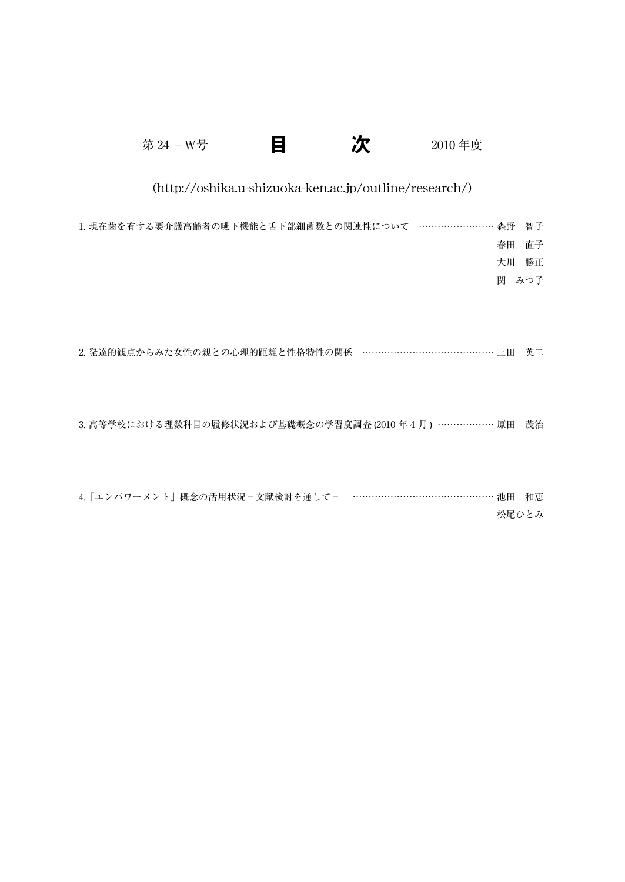| 第 24 - W号                                              |  |  | 2010年度         |                |  |
|--------------------------------------------------------|--|--|----------------|----------------|--|
| (http://oshika.u-shizuoka-ken.ac.jp/outline/research/) |  |  |                |                |  |
| 1. 現在歯を有する要介護高齢者の嚥下機能と舌下部細菌数との関連性について ……………………         |  |  | 森野<br>春田<br>大川 | 智子<br>直子<br>勝正 |  |
|                                                        |  |  | 関              | みつ子            |  |
| 2 発達的観点からみた女性の親との心理的距離と性格特性の関係 …………………………………… 三田       |  |  |                | 英二             |  |

3. 高等学校における理数科目の履修状況および基礎概念の学習度調査 (2010年4月) ……………… 原田 茂治

| 4.「エンパワーメント」概念の活用状況 – 文献検討を通して – ………………………………………… 池田 和恵 |       |
|---------------------------------------------------------|-------|
|                                                         | 松尾ひとみ |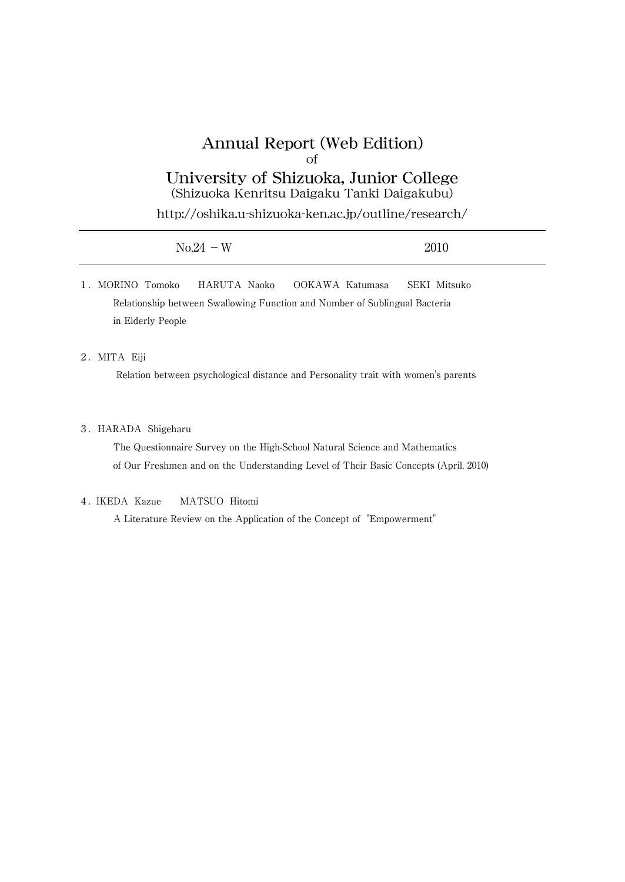# Annual Report (Web Edition) of

University of Shizuoka, Junior College (Shizuoka Kenritsu Daigaku Tanki Daigakubu)

http://oshika.u-shizuoka-ken.ac.jp/outline/research/

| $No.24 - W$ | 2010 |
|-------------|------|
|             |      |

1.MORINO Tomoko HARUTA Naoko OOKAWA Katumasa SEKI Mitsuko Relationship between Swallowing Function and Number of Sublingual Bacteria in Elderly People

### 2.MITA Eiji

Relation between psychological distance and Personality trait with women's parents

#### 3.HARADA Shigeharu

The Questionnaire Survey on the High-School Natural Science and Mathematics of Our Freshmen and on the Understanding Level of Their Basic Concepts (April, 2010)

### 4. IKEDA Kazue MATSUO Hitomi

A Literature Review on the Application of the Concept of "Empowerment"